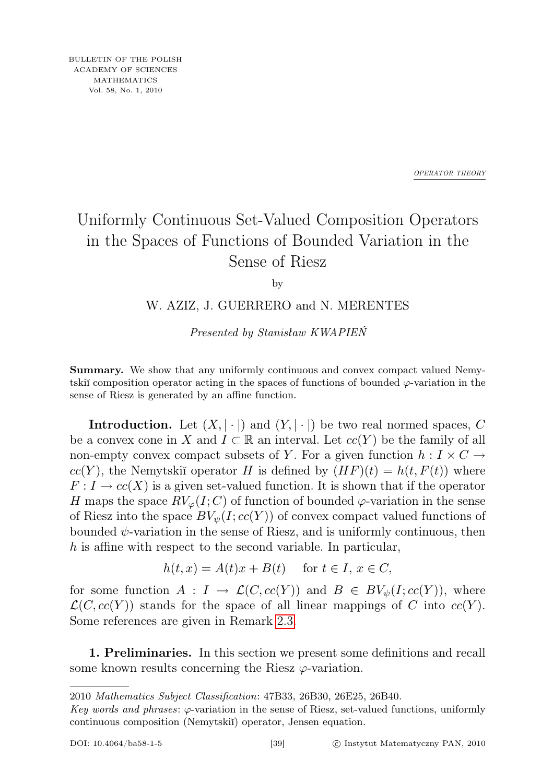*OPERATOR THEORY*

## Uniformly Continuous Set-Valued Composition Operators in the Spaces of Functions of Bounded Variation in the Sense of Riesz

by

## W. AZIZ, J. GUERRERO and N. MERENTES

Presented by Stanisław KWAPIEŃ

Summary. We show that any uniformly continuous and convex compact valued Nemytskiĭ composition operator acting in the spaces of functions of bounded  $\varphi$ -variation in the sense of Riesz is generated by an affine function.

**Introduction.** Let  $(X, |\cdot|)$  and  $(Y, |\cdot|)$  be two real normed spaces, C be a convex cone in X and  $I \subset \mathbb{R}$  an interval. Let  $cc(Y)$  be the family of all non-empty convex compact subsets of Y. For a given function  $h: I \times C \rightarrow$  $cc(Y)$ , the Nemytskiı̆ operator H is defined by  $(HF)(t) = h(t, F(t))$  where  $F: I \to cc(X)$  is a given set-valued function. It is shown that if the operator H maps the space  $RV_{\varphi}(I; C)$  of function of bounded  $\varphi$ -variation in the sense of Riesz into the space  $BV_{\psi}(I; cc(Y))$  of convex compact valued functions of bounded  $\psi$ -variation in the sense of Riesz, and is uniformly continuous, then h is affine with respect to the second variable. In particular,

$$
h(t, x) = A(t)x + B(t) \quad \text{for } t \in I, x \in C,
$$

for some function  $A: I \to \mathcal{L}(C, cc(Y))$  and  $B \in BV_{\psi}(I; cc(Y))$ , where  $\mathcal{L}(C, cc(Y))$  stands for the space of all linear mappings of C into  $cc(Y)$ . Some references are given in Remark [2.3.](#page-5-0)

1. Preliminaries. In this section we present some definitions and recall some known results concerning the Riesz  $\varphi$ -variation.

<sup>2010</sup> Mathematics Subject Classification: 47B33, 26B30, 26E25, 26B40.

Key words and phrases:  $\varphi$ -variation in the sense of Riesz, set-valued functions, uniformly continuous composition (Nemytskiĭ) operator, Jensen equation.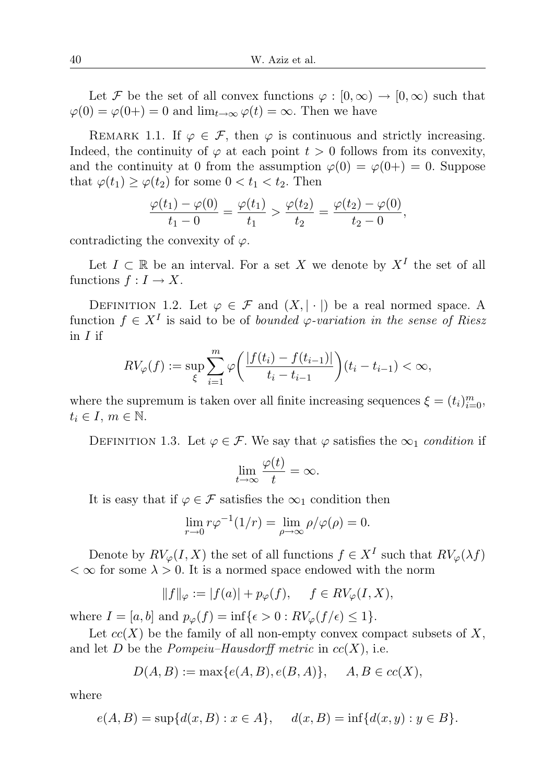Let F be the set of all convex functions  $\varphi : [0, \infty) \to [0, \infty)$  such that  $\varphi(0) = \varphi(0+) = 0$  and  $\lim_{t \to \infty} \varphi(t) = \infty$ . Then we have

REMARK 1.1. If  $\varphi \in \mathcal{F}$ , then  $\varphi$  is continuous and strictly increasing. Indeed, the continuity of  $\varphi$  at each point  $t > 0$  follows from its convexity, and the continuity at 0 from the assumption  $\varphi(0) = \varphi(0+) = 0$ . Suppose that  $\varphi(t_1) \geq \varphi(t_2)$  for some  $0 < t_1 < t_2$ . Then

$$
\frac{\varphi(t_1) - \varphi(0)}{t_1 - 0} = \frac{\varphi(t_1)}{t_1} > \frac{\varphi(t_2)}{t_2} = \frac{\varphi(t_2) - \varphi(0)}{t_2 - 0},
$$

contradicting the convexity of  $\varphi$ .

Let  $I \subset \mathbb{R}$  be an interval. For a set X we denote by  $X<sup>I</sup>$  the set of all functions  $f: I \to X$ .

DEFINITION 1.2. Let  $\varphi \in \mathcal{F}$  and  $(X, |\cdot|)$  be a real normed space. A function  $f \in X^I$  is said to be of *bounded*  $\varphi$ -variation in the sense of Riesz in I if

$$
RV_{\varphi}(f) := \sup_{\xi} \sum_{i=1}^{m} \varphi\bigg(\frac{|f(t_i) - f(t_{i-1})|}{t_i - t_{i-1}}\bigg)(t_i - t_{i-1}) < \infty,
$$

where the supremum is taken over all finite increasing sequences  $\xi = (t_i)_{i=0}^m$ ,  $t_i \in I, m \in \mathbb{N}.$ 

DEFINITION 1.3. Let  $\varphi \in \mathcal{F}$ . We say that  $\varphi$  satisfies the  $\infty_1$  condition if

$$
\lim_{t \to \infty} \frac{\varphi(t)}{t} = \infty.
$$

It is easy that if  $\varphi \in \mathcal{F}$  satisfies the  $\infty_1$  condition then

$$
\lim_{r \to 0} r\varphi^{-1}(1/r) = \lim_{\rho \to \infty} \rho/\varphi(\rho) = 0.
$$

Denote by  $RV_{\varphi}(I, X)$  the set of all functions  $f \in X^I$  such that  $RV_{\varphi}(\lambda f)$  $< \infty$  for some  $\lambda > 0$ . It is a normed space endowed with the norm

$$
||f||_{\varphi} := |f(a)| + p_{\varphi}(f), \quad f \in RV_{\varphi}(I, X),
$$

where  $I = [a, b]$  and  $p_{\varphi}(f) = \inf\{\epsilon > 0 : RV_{\varphi}(f/\epsilon) \leq 1\}.$ 

Let  $cc(X)$  be the family of all non-empty convex compact subsets of X, and let D be the *Pompeiu–Hausdorff metric* in  $cc(X)$ , i.e.

$$
D(A, B) := \max\{e(A, B), e(B, A)\}, \quad A, B \in cc(X),
$$

where

$$
e(A, B) = \sup\{d(x, B) : x \in A\}, \quad d(x, B) = \inf\{d(x, y) : y \in B\}.
$$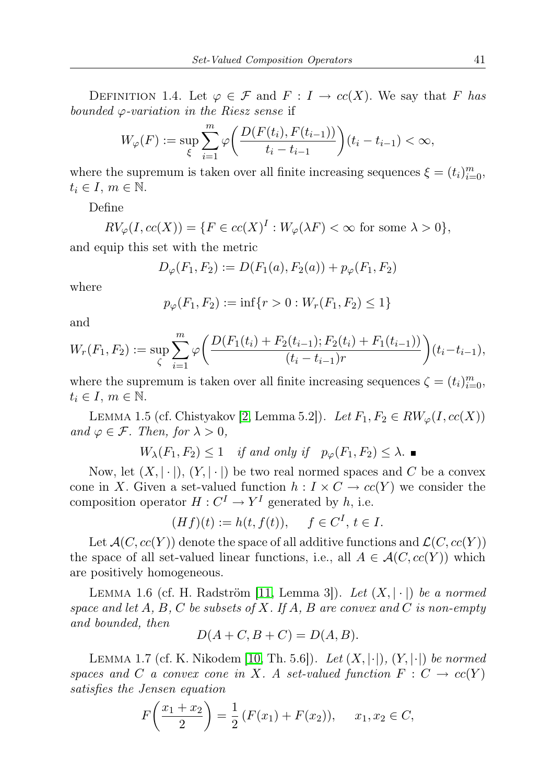DEFINITION 1.4. Let  $\varphi \in \mathcal{F}$  and  $F: I \to cc(X)$ . We say that F has bounded  $\varphi$ -variation in the Riesz sense if

$$
W_{\varphi}(F) := \sup_{\xi} \sum_{i=1}^{m} \varphi \bigg( \frac{D(F(t_i), F(t_{i-1}))}{t_i - t_{i-1}} \bigg) (t_i - t_{i-1}) < \infty,
$$

where the supremum is taken over all finite increasing sequences  $\xi = (t_i)_{i=0}^m$ ,  $t_i \in I, m \in \mathbb{N}.$ 

Define

$$
RV_{\varphi}(I, cc(X)) = \{ F \in cc(X)^{I} : W_{\varphi}(\lambda F) < \infty \text{ for some } \lambda > 0 \},
$$

and equip this set with the metric

$$
D_{\varphi}(F_1, F_2) := D(F_1(a), F_2(a)) + p_{\varphi}(F_1, F_2)
$$

where

$$
p_{\varphi}(F_1, F_2) := \inf\{r > 0 : W_r(F_1, F_2) \le 1\}
$$

and

$$
W_r(F_1, F_2) := \sup_{\zeta} \sum_{i=1}^m \varphi \bigg( \frac{D(F_1(t_i) + F_2(t_{i-1}); F_2(t_i) + F_1(t_{i-1}))}{(t_i - t_{i-1})r} \bigg)(t_i - t_{i-1}),
$$

where the supremum is taken over all finite increasing sequences  $\zeta = (t_i)_{i=0}^m$ ,  $t_i \in I, m \in \mathbb{N}.$ 

<span id="page-2-0"></span>LEMMA 1.5 (cf. Chistyakov [\[2,](#page-5-1) Lemma 5.2]). Let  $F_1, F_2 \in RW_{\varphi}(I, cc(X))$ and  $\varphi \in \mathcal{F}$ . Then, for  $\lambda > 0$ ,

 $W_{\lambda}(F_1, F_2) \leq 1$  if and only if  $p_{\varphi}(F_1, F_2) \leq \lambda$ .

Now, let  $(X, |\cdot|), (Y, |\cdot|)$  be two real normed spaces and C be a convex cone in X. Given a set-valued function  $h: I \times C \to cc(Y)$  we consider the composition operator  $H: C^I \to Y^I$  generated by h, i.e.

$$
(Hf)(t) := h(t, f(t)), \quad f \in C^I, t \in I.
$$

Let  $\mathcal{A}(C, cc(Y))$  denote the space of all additive functions and  $\mathcal{L}(C, cc(Y))$ the space of all set-valued linear functions, i.e., all  $A \in \mathcal{A}(C, cc(Y))$  which are positively homogeneous.

LEMMA 1.6 (cf. H. Radström [\[11,](#page-5-2) Lemma 3]). Let  $(X, |\cdot|)$  be a normed space and let A, B, C be subsets of X. If A, B are convex and C is non-empty and bounded, then

$$
D(A+C, B+C) = D(A, B).
$$

<span id="page-2-1"></span>LEMMA 1.7 (cf. K. Nikodem [\[10,](#page-5-3) Th. 5.6]). Let  $(X, |\cdot|), (Y, |\cdot|)$  be normed spaces and C a convex cone in X. A set-valued function  $F: C \to cc(Y)$ satisfies the Jensen equation

$$
F\left(\frac{x_1+x_2}{2}\right) = \frac{1}{2}\left(F(x_1) + F(x_2)\right), \quad x_1, x_2 \in C,
$$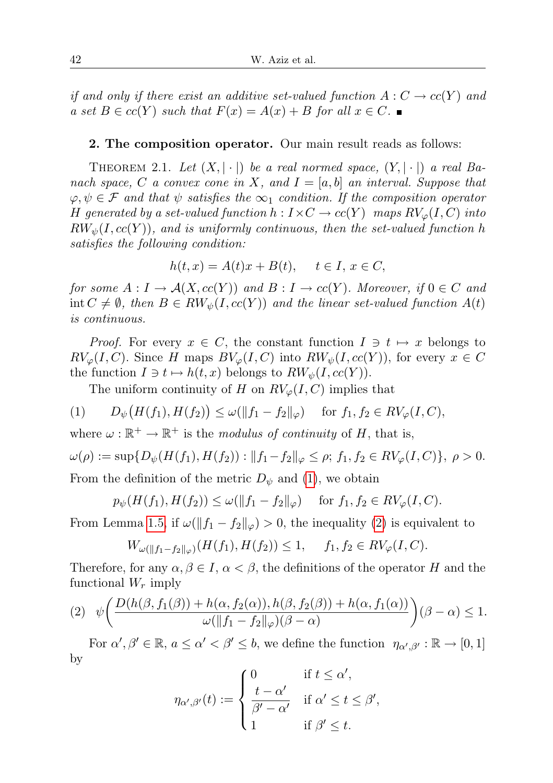if and only if there exist an additive set-valued function  $A: C \to cc(Y)$  and a set  $B \in cc(Y)$  such that  $F(x) = A(x) + B$  for all  $x \in C$ .

## 2. The composition operator. Our main result reads as follows:

THEOREM 2.1. Let  $(X, |\cdot|)$  be a real normed space,  $(Y, |\cdot|)$  a real Banach space, C a convex cone in X, and  $I = [a, b]$  an interval. Suppose that  $\varphi, \psi \in \mathcal{F}$  and that  $\psi$  satisfies the  $\infty_1$  condition. If the composition operator H generated by a set-valued function  $h: I \times C \to cc(Y)$  maps  $RV_{\varphi}(I, C)$  into  $RW_{\psi}(I, cc(Y))$ , and is uniformly continuous, then the set-valued function h satisfies the following condition:

$$
h(t, x) = A(t)x + B(t), \quad t \in I, x \in C,
$$

for some  $A: I \to \mathcal{A}(X, cc(Y))$  and  $B: I \to cc(Y)$ . Moreover, if  $0 \in C$  and int  $C \neq \emptyset$ , then  $B \in RW_{\psi}(I, cc(Y))$  and the linear set-valued function  $A(t)$ is continuous.

*Proof.* For every  $x \in C$ , the constant function  $I \ni t \mapsto x$  belongs to  $RV_{\varphi}(I, C)$ . Since H maps  $BV_{\varphi}(I, C)$  into  $RW_{\psi}(I, cc(Y))$ , for every  $x \in C$ the function  $I \ni t \mapsto h(t, x)$  belongs to  $RW_\psi(I, cc(Y))$ .

<span id="page-3-0"></span>The uniform continuity of H on  $RV_{\varphi}(I, C)$  implies that

(1) 
$$
D_{\psi}(H(f_1), H(f_2)) \leq \omega(||f_1 - f_2||_{\varphi})
$$
 for  $f_1, f_2 \in RV_{\varphi}(I, C)$ ,

where  $\omega : \mathbb{R}^+ \to \mathbb{R}^+$  is the modulus of continuity of H, that is,

$$
\omega(\rho) := \sup \{ D_{\psi}(H(f_1), H(f_2)) : ||f_1 - f_2||_{\varphi} \le \rho; f_1, f_2 \in RV_{\varphi}(I, C) \}, \ \rho > 0.
$$

From the definition of the metric  $D_{\psi}$  and [\(1\)](#page-3-0), we obtain

$$
p_{\psi}(H(f_1), H(f_2)) \le \omega(||f_1 - f_2||_{\varphi})
$$
 for  $f_1, f_2 \in RV_{\varphi}(I, C)$ .

From Lemma [1.5,](#page-2-0) if  $\omega(\Vert f_1 - f_2 \Vert_{\varphi}) > 0$ , the inequality [\(2\)](#page-3-0) is equivalent to

$$
W_{\omega(\|f_1-f_2\|_{\varphi})}(H(f_1), H(f_2)) \le 1, \quad f_1, f_2 \in RV_{\varphi}(I, C).
$$

Therefore, for any  $\alpha, \beta \in I$ ,  $\alpha < \beta$ , the definitions of the operator H and the functional  $W_r$  imply

<span id="page-3-1"></span>
$$
(2) \quad \psi\bigg(\frac{D(h(\beta, f_1(\beta)) + h(\alpha, f_2(\alpha)), h(\beta, f_2(\beta)) + h(\alpha, f_1(\alpha))}{\omega(\|f_1 - f_2\|_{\varphi})(\beta - \alpha)}\bigg)(\beta - \alpha) \le 1.
$$

For  $\alpha', \beta' \in \mathbb{R}$ ,  $a \leq \alpha' < \beta' \leq b$ , we define the function  $\eta_{\alpha',\beta'} : \mathbb{R} \to [0,1]$ by

$$
\eta_{\alpha',\beta'}(t) := \begin{cases} 0 & \text{if } t \leq \alpha', \\ \frac{t - \alpha'}{\beta' - \alpha'} & \text{if } \alpha' \leq t \leq \beta', \\ 1 & \text{if } \beta' \leq t. \end{cases}
$$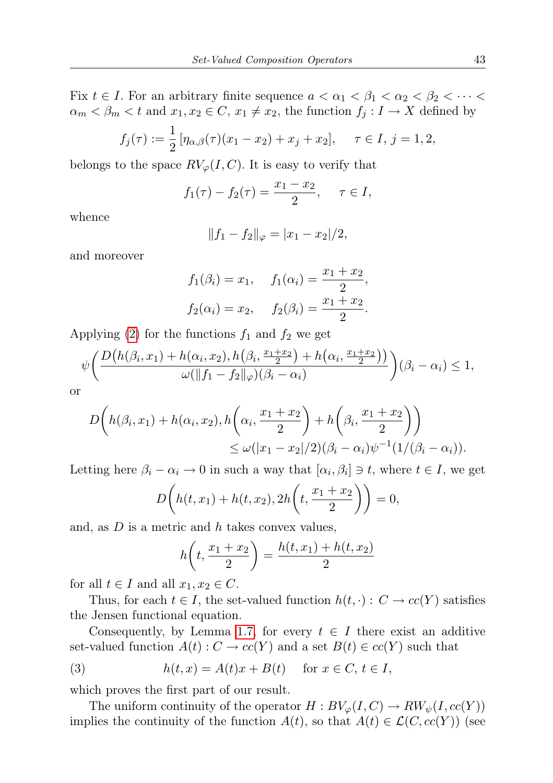Fix  $t \in I$ . For an arbitrary finite sequence  $a < \alpha_1 < \beta_1 < \alpha_2 < \beta_2 < \cdots <$  $\alpha_m < \beta_m < t$  and  $x_1, x_2 \in C$ ,  $x_1 \neq x_2$ , the function  $f_j : I \to X$  defined by

$$
f_j(\tau) := \frac{1}{2} \left[ \eta_{\alpha,\beta}(\tau) (x_1 - x_2) + x_j + x_2 \right], \quad \tau \in I, j = 1, 2,
$$

belongs to the space  $RV_{\varphi}(I, C)$ . It is easy to verify that

$$
f_1(\tau) - f_2(\tau) = \frac{x_1 - x_2}{2}, \quad \tau \in I,
$$

whence

$$
||f_1 - f_2||_{\varphi} = |x_1 - x_2|/2,
$$

and moreover

$$
f_1(\beta_i) = x_1
$$
,  $f_1(\alpha_i) = \frac{x_1 + x_2}{2}$ ,  
\n $f_2(\alpha_i) = x_2$ ,  $f_2(\beta_i) = \frac{x_1 + x_2}{2}$ .

Applying [\(2\)](#page-3-1) for the functions  $f_1$  and  $f_2$  we get

$$
\psi\bigg(\frac{D\big(h(\beta_i, x_1) + h(\alpha_i, x_2), h(\beta_i, \frac{x_1 + x_2}{2}) + h(\alpha_i, \frac{x_1 + x_2}{2})\big)}{\omega(\|f_1 - f_2\|_{\varphi})(\beta_i - \alpha_i)}\bigg)(\beta_i - \alpha_i) \le 1,
$$

or

$$
D\left(h(\beta_i, x_1) + h(\alpha_i, x_2), h\left(\alpha_i, \frac{x_1 + x_2}{2}\right) + h\left(\beta_i, \frac{x_1 + x_2}{2}\right)\right) \le \omega(|x_1 - x_2|/2)(\beta_i - \alpha_i)\psi^{-1}(1/(\beta_i - \alpha_i)).
$$

Letting here  $\beta_i - \alpha_i \to 0$  in such a way that  $[\alpha_i, \beta_i] \to t$ , where  $t \in I$ , we get

$$
D\bigg(h(t, x_1) + h(t, x_2), 2h\bigg(t, \frac{x_1 + x_2}{2}\bigg)\bigg) = 0,
$$

and, as  $D$  is a metric and  $h$  takes convex values,

$$
h\left(t, \frac{x_1 + x_2}{2}\right) = \frac{h(t, x_1) + h(t, x_2)}{2}
$$

for all  $t \in I$  and all  $x_1, x_2 \in C$ .

Thus, for each  $t \in I$ , the set-valued function  $h(t, \cdot): C \to cc(Y)$  satisfies the Jensen functional equation.

Consequently, by Lemma [1.7,](#page-2-1) for every  $t \in I$  there exist an additive set-valued function  $A(t): C \to cc(Y)$  and a set  $B(t) \in cc(Y)$  such that

<span id="page-4-0"></span>(3) 
$$
h(t,x) = A(t)x + B(t) \quad \text{for } x \in C, t \in I,
$$

which proves the first part of our result.

The uniform continuity of the operator  $H : BV_{\varphi}(I, C) \to RW_{\psi}(I, cc(Y))$ implies the continuity of the function  $A(t)$ , so that  $A(t) \in \mathcal{L}(C, cc(Y))$  (see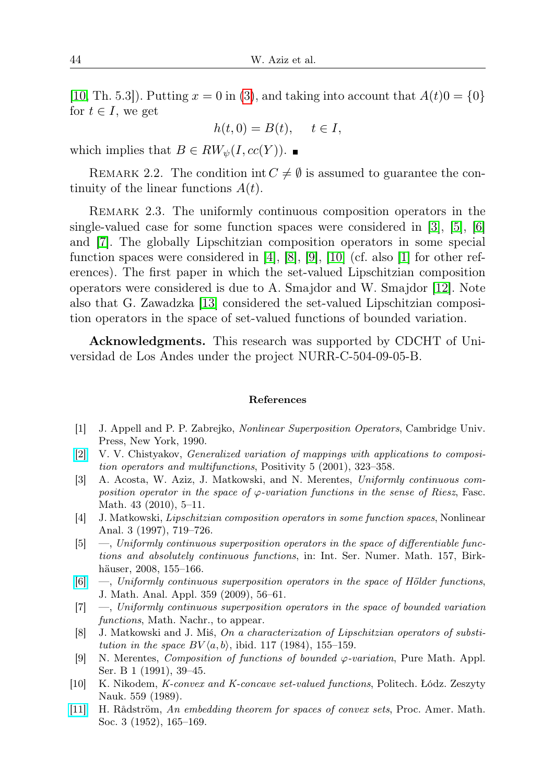[\[10,](#page-5-3) Th. 5.3]). Putting  $x = 0$  in [\(3\)](#page-4-0), and taking into account that  $A(t)0 = \{0\}$ for  $t \in I$ , we get

$$
h(t,0) = B(t), \quad t \in I,
$$

which implies that  $B \in RW_{\psi}(I, cc(Y))$ .

REMARK 2.2. The condition int  $C \neq \emptyset$  is assumed to guarantee the continuity of the linear functions  $A(t)$ .

<span id="page-5-0"></span>Remark 2.3. The uniformly continuous composition operators in the single-valued case for some function spaces were considered in [\[3\]](#page-5-4), [\[5\]](#page-5-5), [\[6\]](#page-5-6) and [\[7\]](#page-5-7). The globally Lipschitzian composition operators in some special function spaces were considered in [\[4\]](#page-5-8), [\[8\]](#page-5-9), [\[9\]](#page-5-10), [\[10\]](#page-5-3) (cf. also [\[1\]](#page-5-11) for other references). The first paper in which the set-valued Lipschitzian composition operators were considered is due to A. Smajdor and W. Smajdor [\[12\]](#page-6-0). Note also that G. Zawadzka [\[13\]](#page-6-1) considered the set-valued Lipschitzian composition operators in the space of set-valued functions of bounded variation.

Acknowledgments. This research was supported by CDCHT of Universidad de Los Andes under the project NURR-C-504-09-05-B.

## References

- <span id="page-5-11"></span>[1] J. Appell and P. P. Zabrejko, Nonlinear Superposition Operators, Cambridge Univ. Press, New York, 1990.
- <span id="page-5-1"></span>[\[2\]](http://dx.doi.org/10.1023/A:1011879221347) V. V. Chistyakov, Generalized variation of mappings with applications to composition operators and multifunctions, Positivity 5 (2001), 323–358.
- <span id="page-5-4"></span>[3] A. Acosta, W. Aziz, J. Matkowski, and N. Merentes, Uniformly continuous composition operator in the space of  $\varphi$ -variation functions in the sense of Riesz, Fasc. Math. 43 (2010), 5–11.
- <span id="page-5-8"></span>[4] J. Matkowski, Lipschitzian composition operators in some function spaces, Nonlinear Anal. 3 (1997), 719–726.
- <span id="page-5-5"></span>[5] —, Uniformly continuous superposition operators in the space of differentiable functions and absolutely continuous functions, in: Int. Ser. Numer. Math. 157, Birkhäuser, 2008, 155–166.
- <span id="page-5-6"></span>[\[6\]](http://dx.doi.org/10.1016/j.jmaa.2009.05.020) —, Uniformly continuous superposition operators in the space of Hölder functions, J. Math. Anal. Appl. 359 (2009), 56–61.
- <span id="page-5-7"></span>[7] —, Uniformly continuous superposition operators in the space of bounded variation functions, Math. Nachr., to appear.
- <span id="page-5-9"></span>[8] J. Matkowski and J. Miś, On a characterization of Lipschitzian operators of substitution in the space  $BV(a, b)$ , ibid. 117 (1984), 155–159.
- <span id="page-5-10"></span>[9] N. Merentes, Composition of functions of bounded ϕ-variation, Pure Math. Appl. Ser. B 1 (1991), 39–45.
- <span id="page-5-3"></span>[10] K. Nikodem, K-convex and K-concave set-valued functions, Politech. Łódz. Zeszyty Nauk. 559 (1989).
- <span id="page-5-2"></span>[\[11\]](http://dx.doi.org/10.2307/2032477) H. Rådström, An embedding theorem for spaces of convex sets, Proc. Amer. Math. Soc. 3 (1952), 165–169.